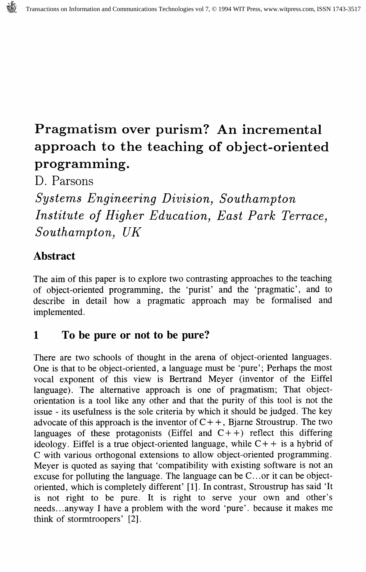# Pragmatism over purism? An incremental approach to the teaching of object-oriented programming.

D. Parsons

Systems Engineering Division, Southampton Institute of Higher Education, East Park Terrace, Southampton, UK

## Abstract

The aim of this paper is to explore two contrasting approaches to the teaching of object-oriented programming, the 'purist' and the 'pragmatic', and to describe in detail how a pragmatic approach may be formalised and implemented.

# 1 To be pure or not to be pure?

There are two schools of thought in the arena of object-oriented languages. One is that to be object-oriented, a language must be 'pure'; Perhaps the most vocal exponent of this view is Bertrand Meyer (inventor of the Eiffel language). The alternative approach is one of pragmatism; That objectorientation is a tool like any other and that the purity of this tool is not the issue - its usefulness is the sole criteria by which it should be judged. The key advocate of this approach is the inventor of  $C_{++}$ , Bjarne Stroustrup. The two languages of these protagonists (Eiffel and  $C++$ ) reflect this differing ideology. Eiffel is a true object-oriented language, while  $C++$  is a hybrid of C with various orthogonal extensions to allow object-oriented programming. Meyer is quoted as saying that 'compatibility with existing software is not an excuse for polluting the language. The language can be C.. .or it can be objectoriented, which is completely different' [1]. In contrast, Stroustrup has said 'It is not right to be pure. It is right to serve your own and other's needs... any way I have a problem with the word 'pure', because it makes me think of stormtroopers' [2].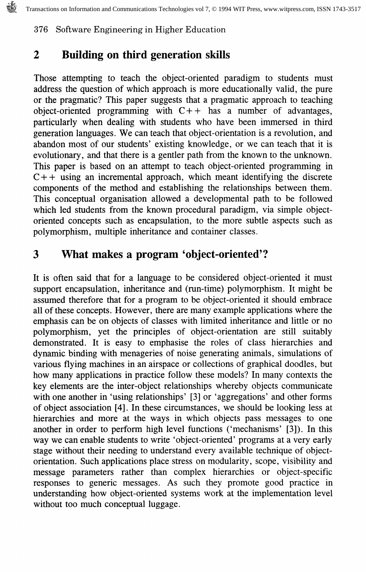# 2 Building on third generation skills

Those attempting to teach the object-oriented paradigm to students must address the question of which approach is more educationally valid, the pure or the pragmatic? This paper suggests that a pragmatic approach to teaching object-oriented programming with  $C++$  has a number of advantages, particularly when dealing with students who have been immersed in third generation languages. We can teach that object-orientation is a revolution, and abandon most of our students' existing knowledge, or we can teach that it is evolutionary, and that there is a gentler path from the known to the unknown. This paper is based on an attempt to teach object-oriented programming in  $C++$  using an incremental approach, which meant identifying the discrete components of the method and establishing the relationships between them. This conceptual organisation allowed a developmental path to be followed which led students from the known procedural paradigm, via simple objectoriented concepts such as encapsulation, to the more subtle aspects such as polymorphism, multiple inheritance and container classes.

# 3 What makes a program 'object-oriented'?

It is often said that for a language to be considered object-oriented it must support encapsulation, inheritance and (run-time) polymorphism. It might be assumed therefore that for a program to be object-oriented it should embrace all of these concepts. However, there are many example applications where the emphasis can be on objects of classes with limited inheritance and little or no polymorphism, yet the principles of object-orientation are still suitably demonstrated. It is easy to emphasise the roles of class hierarchies and dynamic binding with menageries of noise generating animals, simulations of various flying machines in an airspace or collections of graphical doodles, but how many applications in practice follow these models? In many contexts the key elements are the inter-object relationships whereby objects communicate with one another in 'using relationships' [3] or 'aggregations' and other forms of object association [4]. In these circumstances, we should be looking less at hierarchies and more at the ways in which objects pass messages to one another in order to perform high level functions ('mechanisms' [3]). In this way we can enable students to write 'object-oriented' programs at a very early stage without their needing to understand every available technique of objectorientation. Such applications place stress on modularity, scope, visibility and message parameters rather than complex hierarchies or object-specific responses to generic messages. As such they promote good practice in understanding how object-oriented systems work at the implementation level without too much conceptual luggage.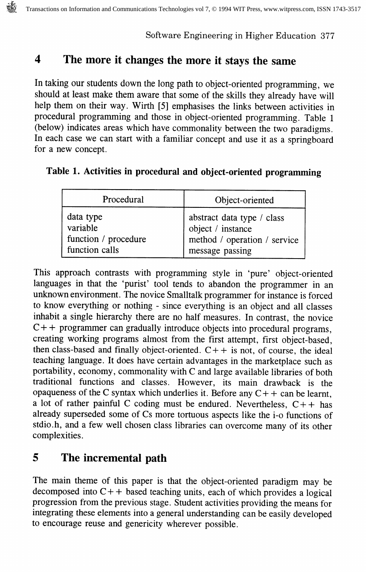## 4 The more it changes the more it stays the same

In taking our students down the long path to object-oriented programming, we should at least make them aware that some of the skills they already have will help them on their way. Wirth [5] emphasises the links between activities in procedural programming and those in object-oriented programming. Table 1 (below) indicates areas which have commonality between the two paradigms. In each case we can start with a familiar concept and use it as a springboard for a new concept.

|  |  |  |  |  |  | Table 1. Activities in procedural and object-oriented programming |  |  |  |
|--|--|--|--|--|--|-------------------------------------------------------------------|--|--|--|
|--|--|--|--|--|--|-------------------------------------------------------------------|--|--|--|

| Procedural           | Object-oriented              |
|----------------------|------------------------------|
| data type            | abstract data type / class   |
| variable             | object / instance            |
| function / procedure | method / operation / service |
| function calls       | message passing              |

This approach contrasts with programming style in 'pure' object-oriented languages in that the 'purist' tool tends to abandon the programmer in an unknown environment. The novice Smalltalk programmer for instance is forced to know everything or nothing - since everything is an object and all classes inhabit a single hierarchy there are no half measures. In contrast, the novice  $C++$  programmer can gradually introduce objects into procedural programs, creating working programs almost from the first attempt, first object-based, then class-based and finally object-oriented.  $C++$  is not, of course, the ideal teaching language. It does have certain advantages in the marketplace such as portability, economy, commonality with C and large available libraries of both traditional functions and classes. However, its main drawback is the opaqueness of the C syntax which underlies it. Before any  $C++$  can be learnt, a lot of rather painful C coding must be endured. Nevertheless,  $C_{+}$  has already superseded some of Cs more tortuous aspects like the i-o functions of stdio.h, and a few well chosen class libraries can overcome many of its other complexities.

## 5 The incremental path

The main theme of this paper is that the object-oriented paradigm may be decomposed into  $C++$  based teaching units, each of which provides a logical progression from the previous stage. Student activities providing the means for integrating these elements into a general understanding can be easily developed to encourage reuse and genericity wherever possible.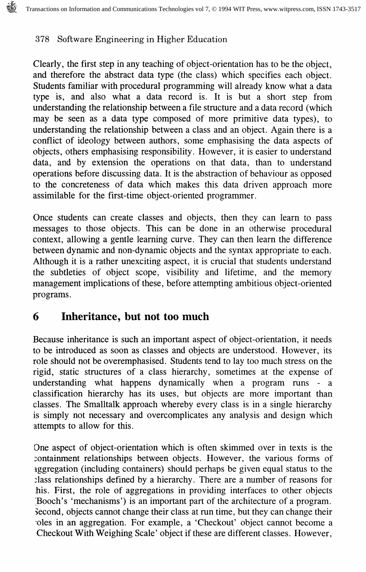Clearly, the first step in any teaching of object-orientation has to be the object, and therefore the abstract data type (the class) which specifies each object. Students familiar with procedural programming will already know what a data type is, and also what a data record is. It is but a short step from understanding the relationship between a file structure and a data record (which may be seen as a data type composed of more primitive data types), to understanding the relationship between a class and an object. Again there is a conflict of ideology between authors, some emphasising the data aspects of objects, others emphasising responsibility. However, it is easier to understand data, and by extension the operations on that data, than to understand operations before discussing data. It is the abstraction of behaviour as opposed to the concreteness of data which makes this data driven approach more assimilable for the first-time object-oriented programmer.

Once students can create classes and objects, then they can learn to pass messages to those objects. This can be done in an otherwise procedural context, allowing a gentle learning curve. They can then learn the difference between dynamic and non-dynamic objects and the syntax appropriate to each. Although it is a rather unexciting aspect, it is crucial that students understand the subtleties of object scope, visibility and lifetime, and the memory management implications of these, before attempting ambitious object-oriented programs.

## 6 Inheritance, but not too much

Because inheritance is such an important aspect of object-orientation, it needs to be introduced as soon as classes and objects are understood. However, its role should not be overemphasised. Students tend to lay too much stress on the rigid, static structures of a class hierarchy, sometimes at the expense of understanding what happens dynamically when a program runs - a classification hierarchy has its uses, but objects are more important than classes. The Smalltalk approach whereby every class is in a single hierarchy is simply not necessary and overcomplicates any analysis and design which attempts to allow for this.

One aspect of object-orientation which is often skimmed over in texts is the containment relationships between objects. However, the various forms of aggregation (including containers) should perhaps be given equal status to the :lass relationships defined by a hierarchy. There are a number of reasons for his. First, the role of aggregations in providing interfaces to other objects IBooch's 'mechanisms') is an important part of the architecture of a program. Second, objects cannot change their class at run time, but they can change their •oles in an aggregation. For example, a 'Checkout' object cannot become a Checkout With Weighing Scale' object if these are different classes. However,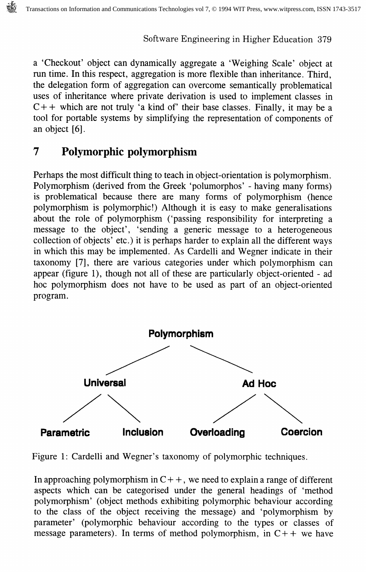a 'Checkout' object can dynamically aggregate a 'Weighing Scale' object at run time. In this respect, aggregation is more flexible than inheritance. Third, the delegation form of aggregation can overcome semantically problematical uses of inheritance where private derivation is used to implement classes in  $C++$  which are not truly 'a kind of' their base classes. Finally, it may be a tool for portable systems by simplifying the representation of components of an object [6].

# 7 Polymorphic polymorphism

Perhaps the most difficult thing to teach in object-orientation is polymorphism. Polymorphism (derived from the Greek 'polumorphos' - having many forms) is problematical because there are many forms of polymorphism (hence polymorphism is polymorphic!) Although it is easy to make generalisations about the role of polymorphism ('passing responsibility for interpreting a message to the object', 'sending a generic message to a heterogeneous collection of objects' etc.) it is perhaps harder to explain all the different ways in which this may be implemented. As Cardelli and Wegner indicate in their taxonomy [7], there are various categories under which polymorphism can appear (figure 1), though not all of these are particularly object-oriented - ad hoc polymorphism does not have to be used as part of an object-oriented program.



Figure 1: Cardelli and Wegner's taxonomy of polymorphic techniques.

In approaching polymorphism in  $C++$ , we need to explain a range of different aspects which can be categorised under the general headings of 'method polymorphism' (object methods exhibiting polymorphic behaviour according to the class of the object receiving the message) and 'polymorphism by parameter' (polymorphic behaviour according to the types or classes of message parameters). In terms of method polymorphism, in  $C++$  we have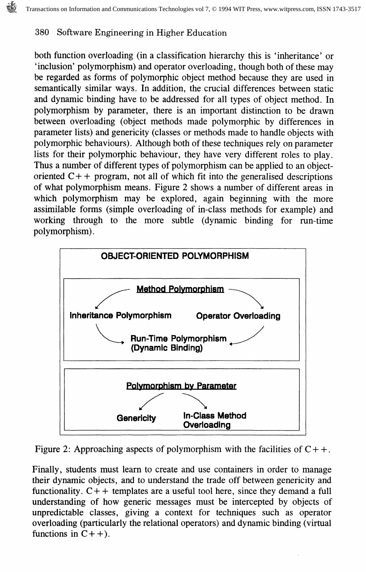both function overloading (in a classification hierarchy this is 'inheritance' or 'inclusion' polymorphism) and operator overloading, though both of these may be regarded as forms of polymorphic object method because they are used in semantically similar ways. In addition, the crucial differences between static and dynamic binding have to be addressed for all types of object method. In polymorphism by parameter, there is an important distinction to be drawn between overloading (object methods made polymorphic by differences in parameter lists) and genericity (classes or methods made to handle objects with polymorphic behaviours). Although both of these techniques rely on parameter lists for their polymorphic behaviour, they have very different roles to play. Thus a number of different types of polymorphism can be applied to an objectoriented  $C++$  program, not all of which fit into the generalised descriptions of what polymorphism means. Figure 2 shows a number of different areas in which polymorphism may be explored, again beginning with the more assimilable forms (simple overloading of in-class methods for example) and working through to the more subtle (dynamic binding for run-time polymorphism).



Figure 2: Approaching aspects of polymorphism with the facilities of  $C_{++}$ .

Finally, students must learn to create and use containers in order to manage their dynamic objects, and to understand the trade off between genericity and functionality.  $C++$  templates are a useful tool here, since they demand a full understanding of how generic messages must be intercepted by objects of unpredictable classes, giving a context for techniques such as operator overloading (particularly the relational operators) and dynamic binding (virtual functions in  $C++$ ).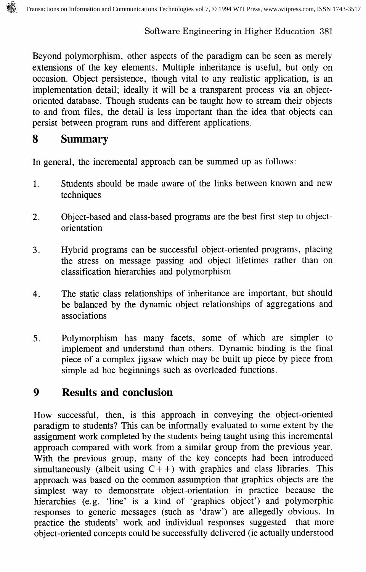Beyond polymorphism, other aspects of the paradigm can be seen as merely extensions of the key elements. Multiple inheritance is useful, but only on occasion. Object persistence, though vital to any realistic application, is an implementation detail; ideally it will be a transparent process via an objectoriented database. Though students can be taught how to stream their objects to and from files, the detail is less important than the idea that objects can persist between program runs and different applications.

#### 8 Summary

In general, the incremental approach can be summed up as follows:

- 1. Students should be made aware of the links between known and new techniques
- 2. Object-based and class-based programs are the best first step to objectorientation
- 3. Hybrid programs can be successful object-oriented programs, placing the stress on message passing and object lifetimes rather than on classification hierarchies and polymorphism
- 4. The static class relationships of inheritance are important, but should be balanced by the dynamic object relationships of aggregations and associations
- 5. Polymorphism has many facets, some of which are simpler to implement and understand than others. Dynamic binding is the final piece of a complex jigsaw which may be built up piece by piece from simple ad hoc beginnings such as overloaded functions.

## 9 Results and conclusion

How successful, then, is this approach in conveying the object-oriented paradigm to students? This can be informally evaluated to some extent by the assignment work completed by the students being taught using this incremental approach compared with work from a similar group from the previous year. With the previous group, many of the key concepts had been introduced simultaneously (albeit using  $C++$ ) with graphics and class libraries. This approach was based on the common assumption that graphics objects are the simplest way to demonstrate object-orientation in practice because the hierarchies (e.g. 'line' is a kind of 'graphics object') and polymorphic responses to generic messages (such as 'draw') are allegedly obvious. In practice the students' work and individual responses suggested that more object-oriented concepts could be successfully delivered (ie actually understood